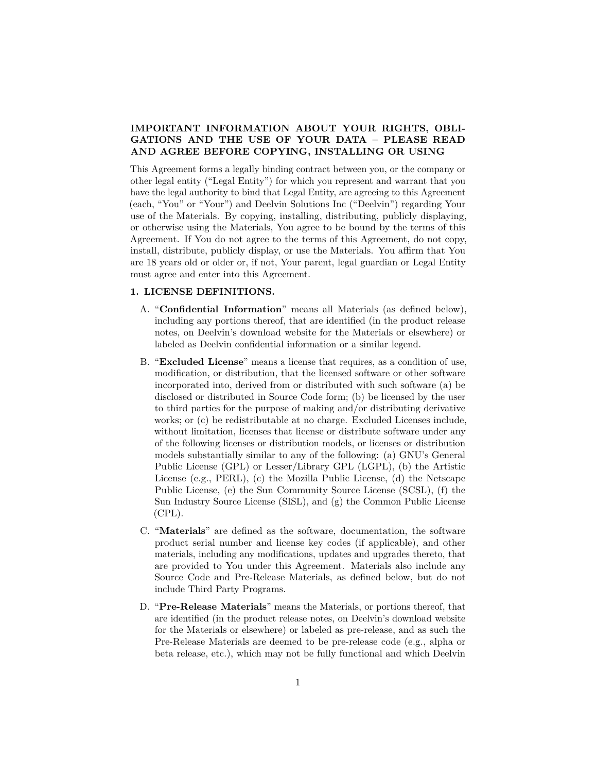# **IMPORTANT INFORMATION ABOUT YOUR RIGHTS, OBLI-GATIONS AND THE USE OF YOUR DATA – PLEASE READ AND AGREE BEFORE COPYING, INSTALLING OR USING**

This Agreement forms a legally binding contract between you, or the company or other legal entity ("Legal Entity") for which you represent and warrant that you have the legal authority to bind that Legal Entity, are agreeing to this Agreement (each, "You" or "Your") and Deelvin Solutions Inc ("Deelvin") regarding Your use of the Materials. By copying, installing, distributing, publicly displaying, or otherwise using the Materials, You agree to be bound by the terms of this Agreement. If You do not agree to the terms of this Agreement, do not copy, install, distribute, publicly display, or use the Materials. You affirm that You are 18 years old or older or, if not, Your parent, legal guardian or Legal Entity must agree and enter into this Agreement.

## **1. LICENSE DEFINITIONS.**

- A. "**Confidential Information**" means all Materials (as defined below), including any portions thereof, that are identified (in the product release notes, on Deelvin's download website for the Materials or elsewhere) or labeled as Deelvin confidential information or a similar legend.
- B. "**Excluded License**" means a license that requires, as a condition of use, modification, or distribution, that the licensed software or other software incorporated into, derived from or distributed with such software (a) be disclosed or distributed in Source Code form; (b) be licensed by the user to third parties for the purpose of making and/or distributing derivative works; or (c) be redistributable at no charge. Excluded Licenses include, without limitation, licenses that license or distribute software under any of the following licenses or distribution models, or licenses or distribution models substantially similar to any of the following: (a) GNU's General Public License (GPL) or Lesser/Library GPL (LGPL), (b) the Artistic License (e.g., PERL), (c) the Mozilla Public License, (d) the Netscape Public License, (e) the Sun Community Source License (SCSL), (f) the Sun Industry Source License (SISL), and (g) the Common Public License (CPL).
- C. "**Materials**" are defined as the software, documentation, the software product serial number and license key codes (if applicable), and other materials, including any modifications, updates and upgrades thereto, that are provided to You under this Agreement. Materials also include any Source Code and Pre-Release Materials, as defined below, but do not include Third Party Programs.
- D. "**Pre-Release Materials**" means the Materials, or portions thereof, that are identified (in the product release notes, on Deelvin's download website for the Materials or elsewhere) or labeled as pre-release, and as such the Pre-Release Materials are deemed to be pre-release code (e.g., alpha or beta release, etc.), which may not be fully functional and which Deelvin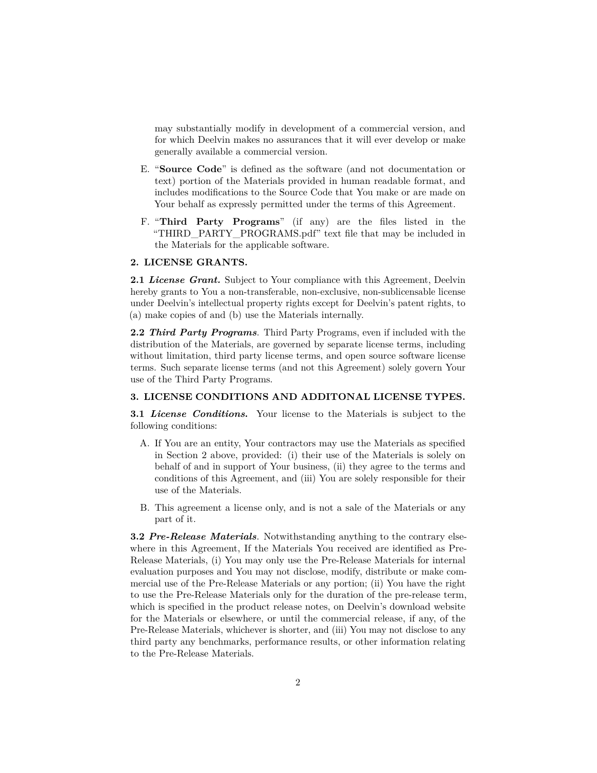may substantially modify in development of a commercial version, and for which Deelvin makes no assurances that it will ever develop or make generally available a commercial version.

- E. "**Source Code**" is defined as the software (and not documentation or text) portion of the Materials provided in human readable format, and includes modifications to the Source Code that You make or are made on Your behalf as expressly permitted under the terms of this Agreement.
- F. "**Third Party Programs**" (if any) are the files listed in the "THIRD\_PARTY\_PROGRAMS.pdf" text file that may be included in the Materials for the applicable software.

### **2. LICENSE GRANTS.**

**2.1** *License Grant.* Subject to Your compliance with this Agreement, Deelvin hereby grants to You a non-transferable, non-exclusive, non-sublicensable license under Deelvin's intellectual property rights except for Deelvin's patent rights, to (a) make copies of and (b) use the Materials internally.

**2.2** *Third Party Programs*. Third Party Programs, even if included with the distribution of the Materials, are governed by separate license terms, including without limitation, third party license terms, and open source software license terms. Such separate license terms (and not this Agreement) solely govern Your use of the Third Party Programs.

#### **3. LICENSE CONDITIONS AND ADDITONAL LICENSE TYPES.**

**3.1** *License Conditions***.** Your license to the Materials is subject to the following conditions:

- A. If You are an entity, Your contractors may use the Materials as specified in Section 2 above, provided: (i) their use of the Materials is solely on behalf of and in support of Your business, (ii) they agree to the terms and conditions of this Agreement, and (iii) You are solely responsible for their use of the Materials.
- B. This agreement a license only, and is not a sale of the Materials or any part of it.

**3.2** *Pre-Release Materials*. Notwithstanding anything to the contrary elsewhere in this Agreement, If the Materials You received are identified as Pre-Release Materials, (i) You may only use the Pre-Release Materials for internal evaluation purposes and You may not disclose, modify, distribute or make commercial use of the Pre-Release Materials or any portion; (ii) You have the right to use the Pre-Release Materials only for the duration of the pre-release term, which is specified in the product release notes, on Deelvin's download website for the Materials or elsewhere, or until the commercial release, if any, of the Pre-Release Materials, whichever is shorter, and (iii) You may not disclose to any third party any benchmarks, performance results, or other information relating to the Pre-Release Materials.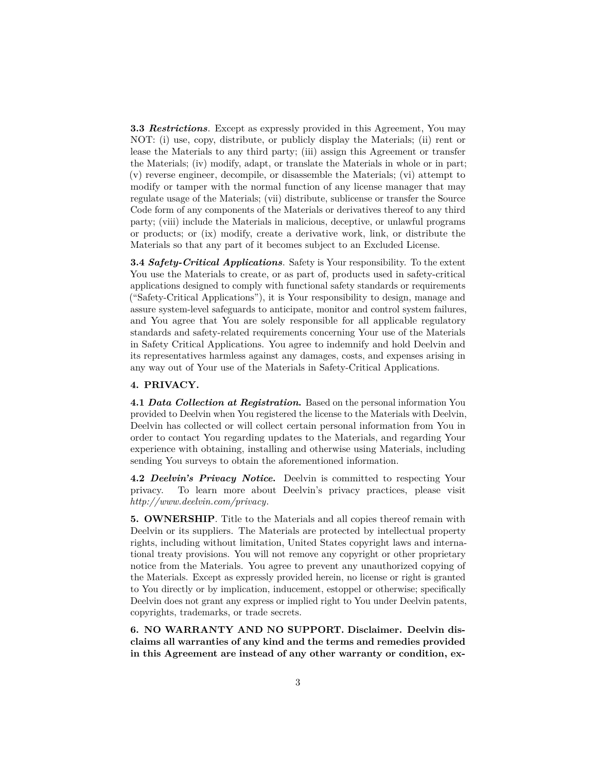**3.3** *Restrictions*. Except as expressly provided in this Agreement, You may NOT: (i) use, copy, distribute, or publicly display the Materials; (ii) rent or lease the Materials to any third party; (iii) assign this Agreement or transfer the Materials; (iv) modify, adapt, or translate the Materials in whole or in part; (v) reverse engineer, decompile, or disassemble the Materials; (vi) attempt to modify or tamper with the normal function of any license manager that may regulate usage of the Materials; (vii) distribute, sublicense or transfer the Source Code form of any components of the Materials or derivatives thereof to any third party; (viii) include the Materials in malicious, deceptive, or unlawful programs or products; or (ix) modify, create a derivative work, link, or distribute the Materials so that any part of it becomes subject to an Excluded License.

**3.4** *Safety-Critical Applications*. Safety is Your responsibility. To the extent You use the Materials to create, or as part of, products used in safety-critical applications designed to comply with functional safety standards or requirements ("Safety-Critical Applications"), it is Your responsibility to design, manage and assure system-level safeguards to anticipate, monitor and control system failures, and You agree that You are solely responsible for all applicable regulatory standards and safety-related requirements concerning Your use of the Materials in Safety Critical Applications. You agree to indemnify and hold Deelvin and its representatives harmless against any damages, costs, and expenses arising in any way out of Your use of the Materials in Safety-Critical Applications.

## **4. PRIVACY.**

**4.1** *Data Collection at Registration***.** Based on the personal information You provided to Deelvin when You registered the license to the Materials with Deelvin, Deelvin has collected or will collect certain personal information from You in order to contact You regarding updates to the Materials, and regarding Your experience with obtaining, installing and otherwise using Materials, including sending You surveys to obtain the aforementioned information.

**4.2** *Deelvin's Privacy Notice***.** Deelvin is committed to respecting Your privacy. To learn more about Deelvin's privacy practices, please visit *<http://www.deelvin.com/privacy>*.

**5. OWNERSHIP**. Title to the Materials and all copies thereof remain with Deelvin or its suppliers. The Materials are protected by intellectual property rights, including without limitation, United States copyright laws and international treaty provisions. You will not remove any copyright or other proprietary notice from the Materials. You agree to prevent any unauthorized copying of the Materials. Except as expressly provided herein, no license or right is granted to You directly or by implication, inducement, estoppel or otherwise; specifically Deelvin does not grant any express or implied right to You under Deelvin patents, copyrights, trademarks, or trade secrets.

**6. NO WARRANTY AND NO SUPPORT. Disclaimer. Deelvin disclaims all warranties of any kind and the terms and remedies provided in this Agreement are instead of any other warranty or condition, ex-**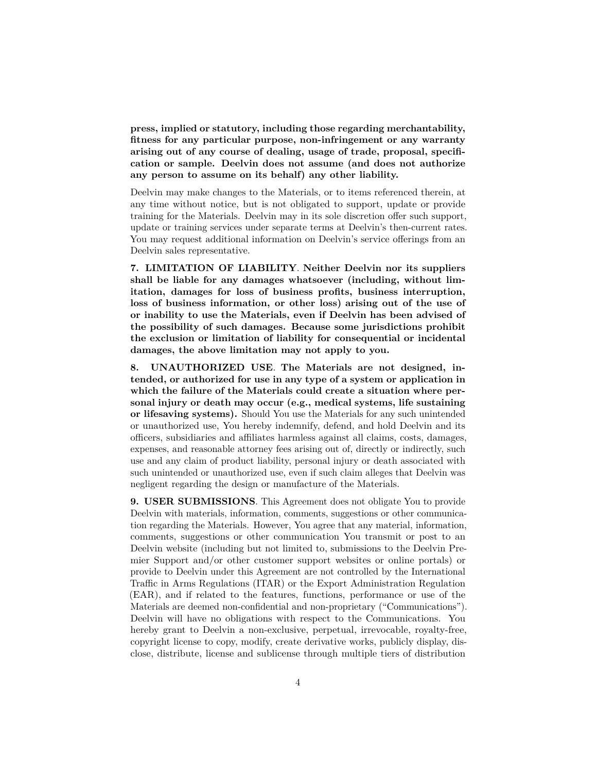**press, implied or statutory, including those regarding merchantability, fitness for any particular purpose, non-infringement or any warranty arising out of any course of dealing, usage of trade, proposal, specification or sample. Deelvin does not assume (and does not authorize any person to assume on its behalf) any other liability.**

Deelvin may make changes to the Materials, or to items referenced therein, at any time without notice, but is not obligated to support, update or provide training for the Materials. Deelvin may in its sole discretion offer such support, update or training services under separate terms at Deelvin's then-current rates. You may request additional information on Deelvin's service offerings from an Deelvin sales representative.

**7. LIMITATION OF LIABILITY**. **Neither Deelvin nor its suppliers shall be liable for any damages whatsoever (including, without limitation, damages for loss of business profits, business interruption, loss of business information, or other loss) arising out of the use of or inability to use the Materials, even if Deelvin has been advised of the possibility of such damages. Because some jurisdictions prohibit the exclusion or limitation of liability for consequential or incidental damages, the above limitation may not apply to you.**

**8. UNAUTHORIZED USE**. **The Materials are not designed, intended, or authorized for use in any type of a system or application in which the failure of the Materials could create a situation where personal injury or death may occur (e.g., medical systems, life sustaining or lifesaving systems).** Should You use the Materials for any such unintended or unauthorized use, You hereby indemnify, defend, and hold Deelvin and its officers, subsidiaries and affiliates harmless against all claims, costs, damages, expenses, and reasonable attorney fees arising out of, directly or indirectly, such use and any claim of product liability, personal injury or death associated with such unintended or unauthorized use, even if such claim alleges that Deelvin was negligent regarding the design or manufacture of the Materials.

**9. USER SUBMISSIONS**. This Agreement does not obligate You to provide Deelvin with materials, information, comments, suggestions or other communication regarding the Materials. However, You agree that any material, information, comments, suggestions or other communication You transmit or post to an Deelvin website (including but not limited to, submissions to the Deelvin Premier Support and/or other customer support websites or online portals) or provide to Deelvin under this Agreement are not controlled by the International Traffic in Arms Regulations (ITAR) or the Export Administration Regulation (EAR), and if related to the features, functions, performance or use of the Materials are deemed non-confidential and non-proprietary ("Communications"). Deelvin will have no obligations with respect to the Communications. You hereby grant to Deelvin a non-exclusive, perpetual, irrevocable, royalty-free, copyright license to copy, modify, create derivative works, publicly display, disclose, distribute, license and sublicense through multiple tiers of distribution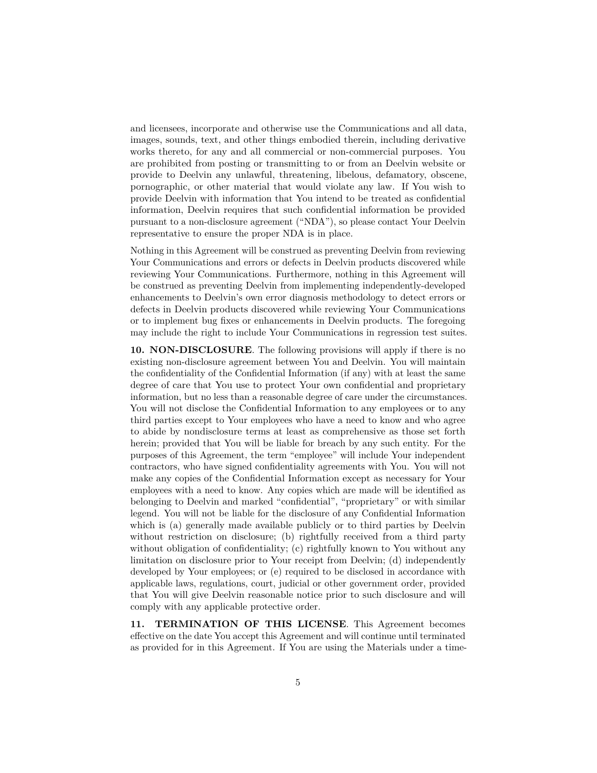and licensees, incorporate and otherwise use the Communications and all data, images, sounds, text, and other things embodied therein, including derivative works thereto, for any and all commercial or non-commercial purposes. You are prohibited from posting or transmitting to or from an Deelvin website or provide to Deelvin any unlawful, threatening, libelous, defamatory, obscene, pornographic, or other material that would violate any law. If You wish to provide Deelvin with information that You intend to be treated as confidential information, Deelvin requires that such confidential information be provided pursuant to a non-disclosure agreement ("NDA"), so please contact Your Deelvin representative to ensure the proper NDA is in place.

Nothing in this Agreement will be construed as preventing Deelvin from reviewing Your Communications and errors or defects in Deelvin products discovered while reviewing Your Communications. Furthermore, nothing in this Agreement will be construed as preventing Deelvin from implementing independently-developed enhancements to Deelvin's own error diagnosis methodology to detect errors or defects in Deelvin products discovered while reviewing Your Communications or to implement bug fixes or enhancements in Deelvin products. The foregoing may include the right to include Your Communications in regression test suites.

**10. NON-DISCLOSURE**. The following provisions will apply if there is no existing non-disclosure agreement between You and Deelvin. You will maintain the confidentiality of the Confidential Information (if any) with at least the same degree of care that You use to protect Your own confidential and proprietary information, but no less than a reasonable degree of care under the circumstances. You will not disclose the Confidential Information to any employees or to any third parties except to Your employees who have a need to know and who agree to abide by nondisclosure terms at least as comprehensive as those set forth herein; provided that You will be liable for breach by any such entity. For the purposes of this Agreement, the term "employee" will include Your independent contractors, who have signed confidentiality agreements with You. You will not make any copies of the Confidential Information except as necessary for Your employees with a need to know. Any copies which are made will be identified as belonging to Deelvin and marked "confidential", "proprietary" or with similar legend. You will not be liable for the disclosure of any Confidential Information which is (a) generally made available publicly or to third parties by Deelvin without restriction on disclosure; (b) rightfully received from a third party without obligation of confidentiality; (c) rightfully known to You without any limitation on disclosure prior to Your receipt from Deelvin; (d) independently developed by Your employees; or (e) required to be disclosed in accordance with applicable laws, regulations, court, judicial or other government order, provided that You will give Deelvin reasonable notice prior to such disclosure and will comply with any applicable protective order.

**11. TERMINATION OF THIS LICENSE**. This Agreement becomes effective on the date You accept this Agreement and will continue until terminated as provided for in this Agreement. If You are using the Materials under a time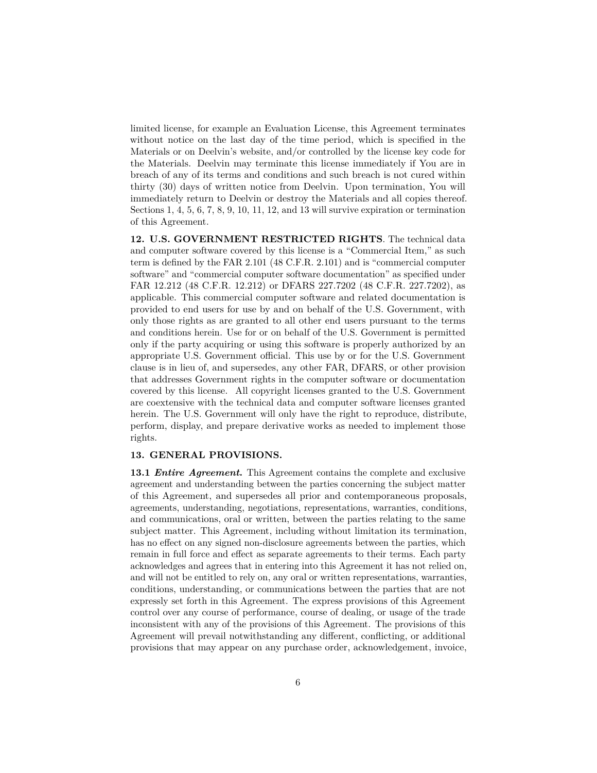limited license, for example an Evaluation License, this Agreement terminates without notice on the last day of the time period, which is specified in the Materials or on Deelvin's website, and/or controlled by the license key code for the Materials. Deelvin may terminate this license immediately if You are in breach of any of its terms and conditions and such breach is not cured within thirty (30) days of written notice from Deelvin. Upon termination, You will immediately return to Deelvin or destroy the Materials and all copies thereof. Sections 1, 4, 5, 6, 7, 8, 9, 10, 11, 12, and 13 will survive expiration or termination of this Agreement.

**12. U.S. GOVERNMENT RESTRICTED RIGHTS**. The technical data and computer software covered by this license is a "Commercial Item," as such term is defined by the FAR 2.101 (48 C.F.R. 2.101) and is "commercial computer software" and "commercial computer software documentation" as specified under FAR 12.212 (48 C.F.R. 12.212) or DFARS 227.7202 (48 C.F.R. 227.7202), as applicable. This commercial computer software and related documentation is provided to end users for use by and on behalf of the U.S. Government, with only those rights as are granted to all other end users pursuant to the terms and conditions herein. Use for or on behalf of the U.S. Government is permitted only if the party acquiring or using this software is properly authorized by an appropriate U.S. Government official. This use by or for the U.S. Government clause is in lieu of, and supersedes, any other FAR, DFARS, or other provision that addresses Government rights in the computer software or documentation covered by this license. All copyright licenses granted to the U.S. Government are coextensive with the technical data and computer software licenses granted herein. The U.S. Government will only have the right to reproduce, distribute, perform, display, and prepare derivative works as needed to implement those rights.

## **13. GENERAL PROVISIONS.**

**13.1** *Entire Agreement***.** This Agreement contains the complete and exclusive agreement and understanding between the parties concerning the subject matter of this Agreement, and supersedes all prior and contemporaneous proposals, agreements, understanding, negotiations, representations, warranties, conditions, and communications, oral or written, between the parties relating to the same subject matter. This Agreement, including without limitation its termination, has no effect on any signed non-disclosure agreements between the parties, which remain in full force and effect as separate agreements to their terms. Each party acknowledges and agrees that in entering into this Agreement it has not relied on, and will not be entitled to rely on, any oral or written representations, warranties, conditions, understanding, or communications between the parties that are not expressly set forth in this Agreement. The express provisions of this Agreement control over any course of performance, course of dealing, or usage of the trade inconsistent with any of the provisions of this Agreement. The provisions of this Agreement will prevail notwithstanding any different, conflicting, or additional provisions that may appear on any purchase order, acknowledgement, invoice,